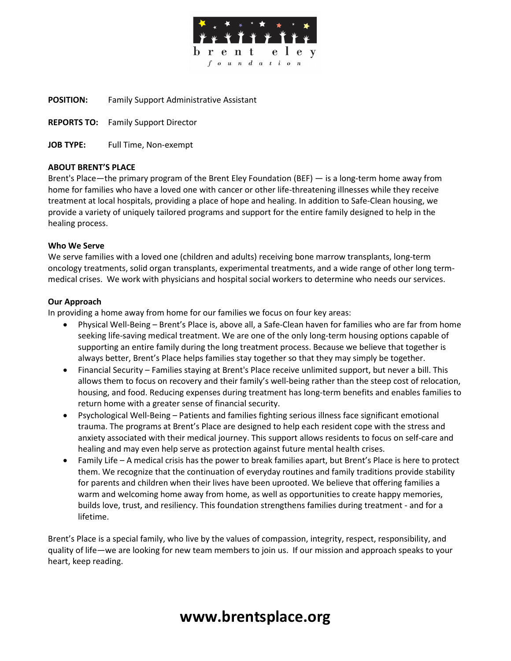

**POSITION:** Family Support Administrative Assistant

**REPORTS TO:** Family Support Director

**JOB TYPE:** Full Time, Non-exempt

## **ABOUT BRENT'S PLACE**

Brent's Place—the primary program of the Brent Eley Foundation (BEF) — is a long-term home away from home for families who have a loved one with cancer or other life-threatening illnesses while they receive treatment at local hospitals, providing a place of hope and healing. In addition to Safe-Clean housing, we provide a variety of uniquely tailored programs and support for the entire family designed to help in the healing process.

### **Who We Serve**

We serve families with a loved one (children and adults) receiving bone marrow transplants, long-term oncology treatments, solid organ transplants, experimental treatments, and a wide range of other long termmedical crises. We work with physicians and hospital social workers to determine who needs our services.

## **Our Approach**

In providing a home away from home for our families we focus on four key areas:

- Physical Well-Being Brent's Place is, above all, a Safe-Clean haven for families who are far from home seeking life-saving medical treatment. We are one of the only long-term housing options capable of supporting an entire family during the long treatment process. Because we believe that together is always better, Brent's Place helps families stay together so that they may simply be together.
- Financial Security Families staying at Brent's Place receive unlimited support, but never a bill. This allows them to focus on recovery and their family's well-being rather than the steep cost of relocation, housing, and food. Reducing expenses during treatment has long-term benefits and enables families to return home with a greater sense of financial security.
- Psychological Well-Being Patients and families fighting serious illness face significant emotional trauma. The programs at Brent's Place are designed to help each resident cope with the stress and anxiety associated with their medical journey. This support allows residents to focus on self-care and healing and may even help serve as protection against future mental health crises.
- Family Life A medical crisis has the power to break families apart, but Brent's Place is here to protect them. We recognize that the continuation of everyday routines and family traditions provide stability for parents and children when their lives have been uprooted. We believe that offering families a warm and welcoming home away from home, as well as opportunities to create happy memories, builds love, trust, and resiliency. This foundation strengthens families during treatment - and for a lifetime.

Brent's Place is a special family, who live by the values of compassion, integrity, respect, responsibility, and quality of life—we are looking for new team members to join us. If our mission and approach speaks to your heart, keep reading.

# **www.brentsplace.org**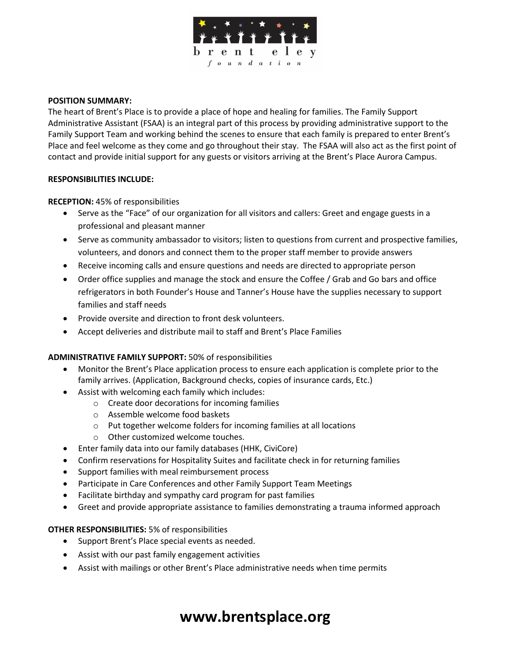

### **POSITION SUMMARY:**

The heart of Brent's Place is to provide a place of hope and healing for families. The Family Support Administrative Assistant (FSAA) is an integral part of this process by providing administrative support to the Family Support Team and working behind the scenes to ensure that each family is prepared to enter Brent's Place and feel welcome as they come and go throughout their stay. The FSAA will also act as the first point of contact and provide initial support for any guests or visitors arriving at the Brent's Place Aurora Campus.

#### **RESPONSIBILITIES INCLUDE:**

**RECEPTION:** 45% of responsibilities

- Serve as the "Face" of our organization for all visitors and callers: Greet and engage guests in a professional and pleasant manner
- Serve as community ambassador to visitors; listen to questions from current and prospective families, volunteers, and donors and connect them to the proper staff member to provide answers
- Receive incoming calls and ensure questions and needs are directed to appropriate person
- Order office supplies and manage the stock and ensure the Coffee / Grab and Go bars and office refrigerators in both Founder's House and Tanner's House have the supplies necessary to support families and staff needs
- Provide oversite and direction to front desk volunteers.
- Accept deliveries and distribute mail to staff and Brent's Place Families

### **ADMINISTRATIVE FAMILY SUPPORT:** 50% of responsibilities

- Monitor the Brent's Place application process to ensure each application is complete prior to the family arrives. (Application, Background checks, copies of insurance cards, Etc.)
- Assist with welcoming each family which includes:
	- o Create door decorations for incoming families
	- o Assemble welcome food baskets
	- o Put together welcome folders for incoming families at all locations
	- o Other customized welcome touches.
- Enter family data into our family databases (HHK, CiviCore)
- Confirm reservations for Hospitality Suites and facilitate check in for returning families
- Support families with meal reimbursement process
- Participate in Care Conferences and other Family Support Team Meetings
- Facilitate birthday and sympathy card program for past families
- Greet and provide appropriate assistance to families demonstrating a trauma informed approach

### **OTHER RESPONSIBILITIES:** 5% of responsibilities

- Support Brent's Place special events as needed.
- Assist with our past family engagement activities
- Assist with mailings or other Brent's Place administrative needs when time permits

# **www.brentsplace.org**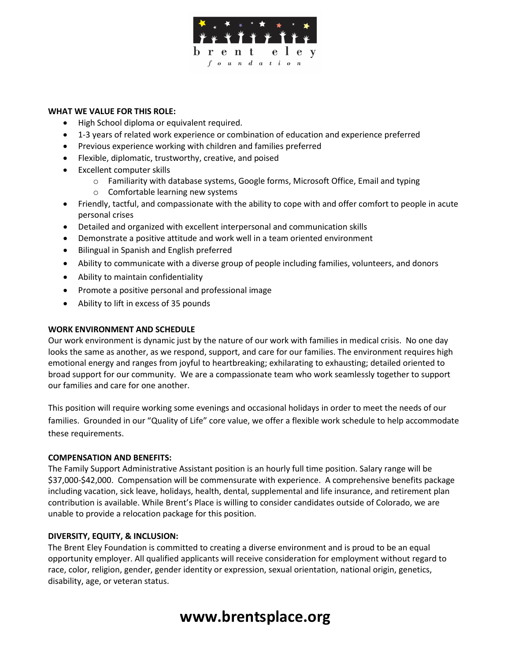

### **WHAT WE VALUE FOR THIS ROLE:**

- High School diploma or equivalent required.
- 1-3 years of related work experience or combination of education and experience preferred
- Previous experience working with children and families preferred
- Flexible, diplomatic, trustworthy, creative, and poised
- Excellent computer skills
	- o Familiarity with database systems, Google forms, Microsoft Office, Email and typing
	- o Comfortable learning new systems
- Friendly, tactful, and compassionate with the ability to cope with and offer comfort to people in acute personal crises
- Detailed and organized with excellent interpersonal and communication skills
- Demonstrate a positive attitude and work well in a team oriented environment
- Bilingual in Spanish and English preferred
- Ability to communicate with a diverse group of people including families, volunteers, and donors
- Ability to maintain confidentiality
- Promote a positive personal and professional image
- Ability to lift in excess of 35 pounds

### **WORK ENVIRONMENT AND SCHEDULE**

Our work environment is dynamic just by the nature of our work with families in medical crisis. No one day looks the same as another, as we respond, support, and care for our families. The environment requires high emotional energy and ranges from joyful to heartbreaking; exhilarating to exhausting; detailed oriented to broad support for our community. We are a compassionate team who work seamlessly together to support our families and care for one another.

This position will require working some evenings and occasional holidays in order to meet the needs of our families. Grounded in our "Quality of Life" core value, we offer a flexible work schedule to help accommodate these requirements.

#### **COMPENSATION AND BENEFITS:**

The Family Support Administrative Assistant position is an hourly full time position. Salary range will be \$37,000-\$42,000. Compensation will be commensurate with experience. A comprehensive benefits package including vacation, sick leave, holidays, health, dental, supplemental and life insurance, and retirement plan contribution is available. While Brent's Place is willing to consider candidates outside of Colorado, we are unable to provide a relocation package for this position.

### **DIVERSITY, EQUITY, & INCLUSION:**

The Brent Eley Foundation is committed to creating a diverse environment and is proud to be an equal opportunity employer. All qualified applicants will receive consideration for employment without regard to race, color, religion, gender, gender identity or expression, sexual orientation, national origin, genetics, disability, age, or veteran status.

# **www.brentsplace.org**